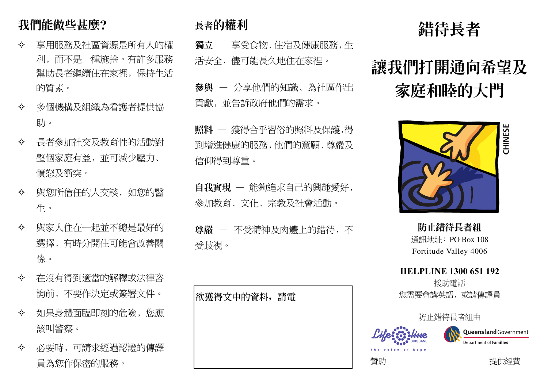# 我們能做些甚麼?

- 享用服務及社區資源是所有人的權 ✧ 利,而不是一種施捨。有許多服務 幫助長者繼續住在家裡, 保持生活 的質素。
- 多個機構及組織為看護者提供協  $\leftrightarrow$ 肋。
- 長者參加社交及教育性的活動對 ✧ 整個家庭有益, 並可減少壓力、 憤怒及衝突。
- 與您所信任的人交談, 如您的醫  $\leftrightarrow$ 牛。
- 與家人住在一起並不總是最好的  $\leftrightarrow$ 選擇,有時分開住可能會改善關 係。
- 在沒有得到滴當的解釋或法律咨 ✧ 詢前,不要作決定或簽署文件。
- 如果身體面臨即刻的危險, 您應 ✧ 該叫警察。
- 必要時,可請求經過認證的傳譯 ✧ 員為您作保密的服務。

## 長者的權利

獨立 一 享受食物、住宿及健康服務, 生 活安全, 儘可能長久地住在家裡。

參與 一 分享他們的知識、為社區作出 貢獻,並告訴政府他們的需求。

照料 一 獲得合乎習俗的照料及保護,得 到增進健康的服務,他們的意願、尊嚴及 信仰得到尊重。

自我實現 - 能夠追求自己的興趣愛好, 參加教育、文化、宗教及社會活動。

尊嚴 一 不受精神及肉體上的錯待, 不 受歧視。

|欲獲得文中的資料,請電

# 錯待長者

# 讓我們打開通向希望及 家庭和睦的大門



防止錯待長者組 通訊地址: PO Box 108 Fortitude Valley 4006

**HELPLINE 1300 651 192** 

援助雷話 您需要會講英語,或請傳譯員

防止錯待長者組由



**Queensland** Government Department of Families

贊助